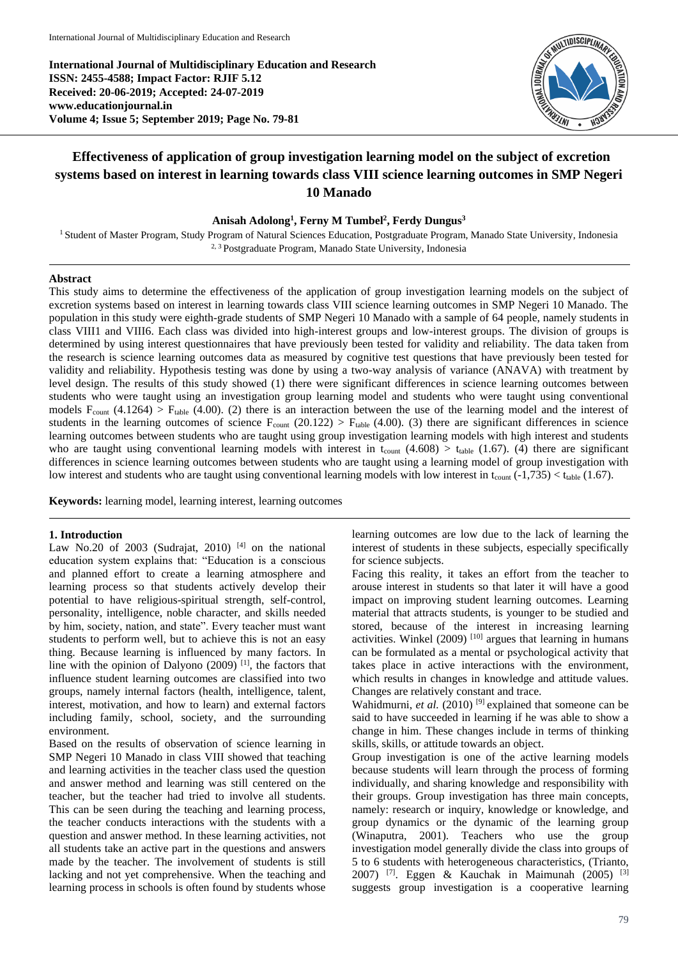**International Journal of Multidisciplinary Education and Research ISSN: 2455-4588; Impact Factor: RJIF 5.12 Received: 20-06-2019; Accepted: 24-07-2019 www.educationjournal.in Volume 4; Issue 5; September 2019; Page No. 79-81**



# **Effectiveness of application of group investigation learning model on the subject of excretion systems based on interest in learning towards class VIII science learning outcomes in SMP Negeri 10 Manado**

# **Anisah Adolong<sup>1</sup> , Ferny M Tumbel<sup>2</sup> , Ferdy Dungus<sup>3</sup>**

<sup>1</sup> Student of Master Program, Study Program of Natural Sciences Education, Postgraduate Program, Manado State University, Indonesia 2, 3 Postgraduate Program, Manado State University, Indonesia

### **Abstract**

This study aims to determine the effectiveness of the application of group investigation learning models on the subject of excretion systems based on interest in learning towards class VIII science learning outcomes in SMP Negeri 10 Manado. The population in this study were eighth-grade students of SMP Negeri 10 Manado with a sample of 64 people, namely students in class VIII1 and VIII6. Each class was divided into high-interest groups and low-interest groups. The division of groups is determined by using interest questionnaires that have previously been tested for validity and reliability. The data taken from the research is science learning outcomes data as measured by cognitive test questions that have previously been tested for validity and reliability. Hypothesis testing was done by using a two-way analysis of variance (ANAVA) with treatment by level design. The results of this study showed (1) there were significant differences in science learning outcomes between students who were taught using an investigation group learning model and students who were taught using conventional models  $F_{count}$  (4.1264) >  $F_{table}$  (4.00). (2) there is an interaction between the use of the learning model and the interest of students in the learning outcomes of science  $F_{\text{count}}(20.122) > F_{\text{table}}(4.00)$ . (3) there are significant differences in science learning outcomes between students who are taught using group investigation learning models with high interest and students who are taught using conventional learning models with interest in  $t_{\text{count}}$  (4.608) >  $t_{\text{table}}$  (1.67). (4) there are significant differences in science learning outcomes between students who are taught using a learning model of group investigation with low interest and students who are taught using conventional learning models with low interest in  $t_{\text{count}}$  (-1,735) <  $t_{\text{table}}$  (1.67).

**Keywords:** learning model, learning interest, learning outcomes

#### **1. Introduction**

Law No.20 of 2003 (Sudrajat, 2010)  $[4]$  on the national education system explains that: "Education is a conscious and planned effort to create a learning atmosphere and learning process so that students actively develop their potential to have religious-spiritual strength, self-control, personality, intelligence, noble character, and skills needed by him, society, nation, and state". Every teacher must want students to perform well, but to achieve this is not an easy thing. Because learning is influenced by many factors. In line with the opinion of Dalyono  $(2009)$ <sup>[1]</sup>, the factors that influence student learning outcomes are classified into two groups, namely internal factors (health, intelligence, talent, interest, motivation, and how to learn) and external factors including family, school, society, and the surrounding environment.

Based on the results of observation of science learning in SMP Negeri 10 Manado in class VIII showed that teaching and learning activities in the teacher class used the question and answer method and learning was still centered on the teacher, but the teacher had tried to involve all students. This can be seen during the teaching and learning process, the teacher conducts interactions with the students with a question and answer method. In these learning activities, not all students take an active part in the questions and answers made by the teacher. The involvement of students is still lacking and not yet comprehensive. When the teaching and learning process in schools is often found by students whose

learning outcomes are low due to the lack of learning the interest of students in these subjects, especially specifically for science subjects.

Facing this reality, it takes an effort from the teacher to arouse interest in students so that later it will have a good impact on improving student learning outcomes. Learning material that attracts students, is younger to be studied and stored, because of the interest in increasing learning activities. Winkel  $(2009)$ <sup>[10]</sup> argues that learning in humans can be formulated as a mental or psychological activity that takes place in active interactions with the environment, which results in changes in knowledge and attitude values. Changes are relatively constant and trace.

Wahidmurni, *et al.* (2010)<sup>[9]</sup> explained that someone can be said to have succeeded in learning if he was able to show a change in him. These changes include in terms of thinking skills, skills, or attitude towards an object.

Group investigation is one of the active learning models because students will learn through the process of forming individually, and sharing knowledge and responsibility with their groups. Group investigation has three main concepts, namely: research or inquiry, knowledge or knowledge, and group dynamics or the dynamic of the learning group (Winaputra, 2001). Teachers who use the group investigation model generally divide the class into groups of 5 to 6 students with heterogeneous characteristics, (Trianto, 2007) <sup>[7]</sup>. Eggen & Kauchak in Maimunah (2005) <sup>[3]</sup> suggests group investigation is a cooperative learning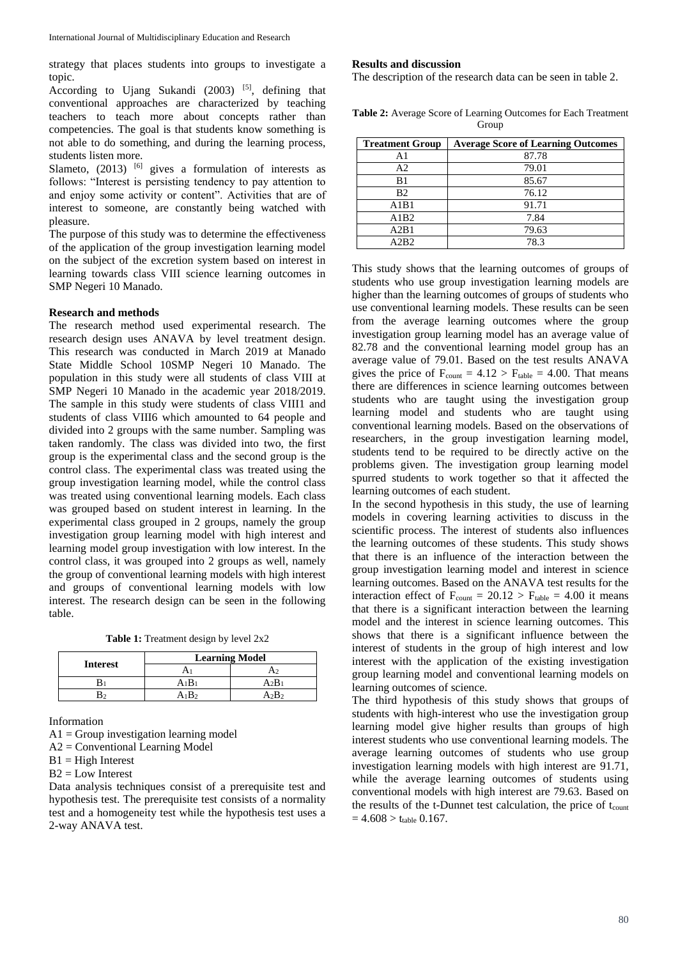strategy that places students into groups to investigate a topic.

According to Ujang Sukandi  $(2003)$  [5], defining that conventional approaches are characterized by teaching teachers to teach more about concepts rather than competencies. The goal is that students know something is not able to do something, and during the learning process, students listen more.

Slameto,  $(2013)$  <sup>[6]</sup> gives a formulation of interests as follows: "Interest is persisting tendency to pay attention to and enjoy some activity or content". Activities that are of interest to someone, are constantly being watched with pleasure.

The purpose of this study was to determine the effectiveness of the application of the group investigation learning model on the subject of the excretion system based on interest in learning towards class VIII science learning outcomes in SMP Negeri 10 Manado.

# **Research and methods**

The research method used experimental research. The research design uses ANAVA by level treatment design. This research was conducted in March 2019 at Manado State Middle School 10SMP Negeri 10 Manado. The population in this study were all students of class VIII at SMP Negeri 10 Manado in the academic year 2018/2019. The sample in this study were students of class VIII1 and students of class VIII6 which amounted to 64 people and divided into 2 groups with the same number. Sampling was taken randomly. The class was divided into two, the first group is the experimental class and the second group is the control class. The experimental class was treated using the group investigation learning model, while the control class was treated using conventional learning models. Each class was grouped based on student interest in learning. In the experimental class grouped in 2 groups, namely the group investigation group learning model with high interest and learning model group investigation with low interest. In the control class, it was grouped into 2 groups as well, namely the group of conventional learning models with high interest and groups of conventional learning models with low interest. The research design can be seen in the following table.

**Table 1:** Treatment design by level 2x2

| <b>Interest</b> | <b>Learning Model</b> |     |
|-----------------|-----------------------|-----|
|                 |                       |     |
|                 | $A_1B$                | A2B |
|                 |                       |     |

Information

 $A1 =$  Group investigation learning model

A2 = Conventional Learning Model

 $B1 = High Interest$ 

 $B2 = Low Interest$ 

Data analysis techniques consist of a prerequisite test and hypothesis test. The prerequisite test consists of a normality test and a homogeneity test while the hypothesis test uses a 2-way ANAVA test.

#### **Results and discussion**

The description of the research data can be seen in table 2.

**Table 2:** Average Score of Learning Outcomes for Each Treatment Group

| <b>Treatment Group</b> | <b>Average Score of Learning Outcomes</b> |  |
|------------------------|-------------------------------------------|--|
| A1                     | 87.78                                     |  |
| A <sub>2</sub>         | 79.01                                     |  |
| B1                     | 85.67                                     |  |
| B <sub>2</sub>         | 76.12                                     |  |
| A1B1                   | 91.71                                     |  |
| A1B2                   | 7.84                                      |  |
| A2B1                   | 79.63                                     |  |
| A2B2                   | 78.3                                      |  |

This study shows that the learning outcomes of groups of students who use group investigation learning models are higher than the learning outcomes of groups of students who use conventional learning models. These results can be seen from the average learning outcomes where the group investigation group learning model has an average value of 82.78 and the conventional learning model group has an average value of 79.01. Based on the test results ANAVA gives the price of  $F_{\text{count}} = 4.12 > F_{\text{table}} = 4.00$ . That means there are differences in science learning outcomes between students who are taught using the investigation group learning model and students who are taught using conventional learning models. Based on the observations of researchers, in the group investigation learning model, students tend to be required to be directly active on the problems given. The investigation group learning model spurred students to work together so that it affected the learning outcomes of each student.

In the second hypothesis in this study, the use of learning models in covering learning activities to discuss in the scientific process. The interest of students also influences the learning outcomes of these students. This study shows that there is an influence of the interaction between the group investigation learning model and interest in science learning outcomes. Based on the ANAVA test results for the interaction effect of  $F_{\text{count}} = 20.12 > F_{\text{table}} = 4.00$  it means that there is a significant interaction between the learning model and the interest in science learning outcomes. This shows that there is a significant influence between the interest of students in the group of high interest and low interest with the application of the existing investigation group learning model and conventional learning models on learning outcomes of science.

The third hypothesis of this study shows that groups of students with high-interest who use the investigation group learning model give higher results than groups of high interest students who use conventional learning models. The average learning outcomes of students who use group investigation learning models with high interest are 91.71, while the average learning outcomes of students using conventional models with high interest are 79.63. Based on the results of the t-Dunnet test calculation, the price of  $t_{\text{count}}$  $= 4.608 > t_{table}$  0.167.